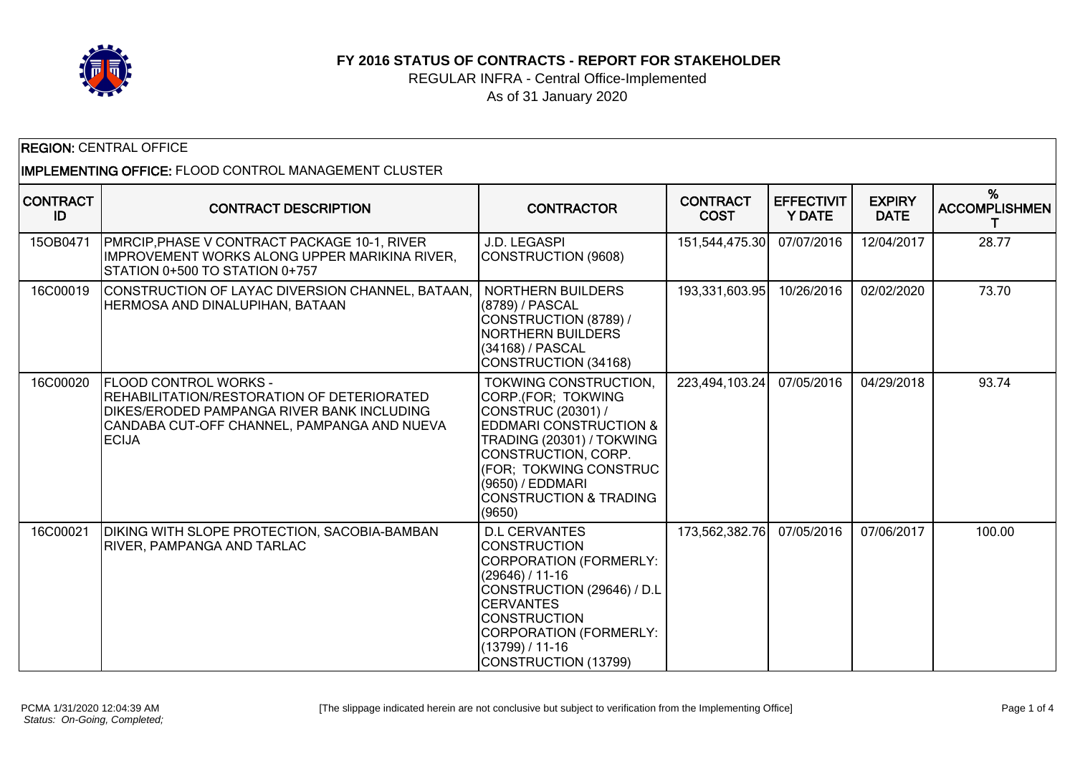

**FY 2016 STATUS OF CONTRACTS - REPORT FOR STAKEHOLDER**

REGULAR INFRA - Central Office-Implemented As of 31 January 2020

| <b>REGION: CENTRAL OFFICE</b>                         |                                                                                                                                                                                                |                                                                                                                                                                                                                                                         |                                |                                    |                              |                           |  |
|-------------------------------------------------------|------------------------------------------------------------------------------------------------------------------------------------------------------------------------------------------------|---------------------------------------------------------------------------------------------------------------------------------------------------------------------------------------------------------------------------------------------------------|--------------------------------|------------------------------------|------------------------------|---------------------------|--|
| IMPLEMENTING OFFICE: FLOOD CONTROL MANAGEMENT CLUSTER |                                                                                                                                                                                                |                                                                                                                                                                                                                                                         |                                |                                    |                              |                           |  |
| <b>CONTRACT</b><br>ID                                 | <b>CONTRACT DESCRIPTION</b>                                                                                                                                                                    | <b>CONTRACTOR</b>                                                                                                                                                                                                                                       | <b>CONTRACT</b><br><b>COST</b> | <b>EFFECTIVIT</b><br><b>Y DATE</b> | <b>EXPIRY</b><br><b>DATE</b> | %<br><b>ACCOMPLISHMEN</b> |  |
| 15OB0471                                              | PMRCIP, PHASE V CONTRACT PACKAGE 10-1, RIVER<br>IIMPROVEMENT WORKS ALONG UPPER MARIKINA RIVER,<br>STATION 0+500 TO STATION 0+757                                                               | J.D. LEGASPI<br>CONSTRUCTION (9608)                                                                                                                                                                                                                     | 151,544,475.30                 | 07/07/2016                         | 12/04/2017                   | 28.77                     |  |
| 16C00019                                              | CONSTRUCTION OF LAYAC DIVERSION CHANNEL, BATAAN,<br>HERMOSA AND DINALUPIHAN, BATAAN                                                                                                            | <b>NORTHERN BUILDERS</b><br>(8789) / PASCAL<br>CONSTRUCTION (8789) /<br><b>NORTHERN BUILDERS</b><br>(34168) / PASCAL<br>CONSTRUCTION (34168)                                                                                                            | 193,331,603.95                 | 10/26/2016                         | 02/02/2020                   | 73.70                     |  |
| 16C00020                                              | <b>FLOOD CONTROL WORKS -</b><br>REHABILITATION/RESTORATION OF DETERIORATED<br><b>DIKES/ERODED PAMPANGA RIVER BANK INCLUDING</b><br>CANDABA CUT-OFF CHANNEL, PAMPANGA AND NUEVA<br><b>ECIJA</b> | TOKWING CONSTRUCTION,<br>CORP.(FOR; TOKWING<br>CONSTRUC (20301) /<br><b>EDDMARI CONSTRUCTION &amp;</b><br>TRADING (20301) / TOKWING<br>CONSTRUCTION, CORP.<br>(FOR; TOKWING CONSTRUC<br>(9650) / EDDMARI<br><b>CONSTRUCTION &amp; TRADING</b><br>(9650) | 223,494,103.24                 | 07/05/2016                         | 04/29/2018                   | 93.74                     |  |
| 16C00021                                              | DIKING WITH SLOPE PROTECTION, SACOBIA-BAMBAN<br><b>RIVER, PAMPANGA AND TARLAC</b>                                                                                                              | <b>D.L CERVANTES</b><br><b>CONSTRUCTION</b><br>CORPORATION (FORMERLY:<br>$(29646) / 11-16$<br>CONSTRUCTION (29646) / D.L<br><b>CERVANTES</b><br><b>CONSTRUCTION</b><br>CORPORATION (FORMERLY:<br>(13799) / 11-16<br>CONSTRUCTION (13799)                | 173,562,382.76                 | 07/05/2016                         | 07/06/2017                   | 100.00                    |  |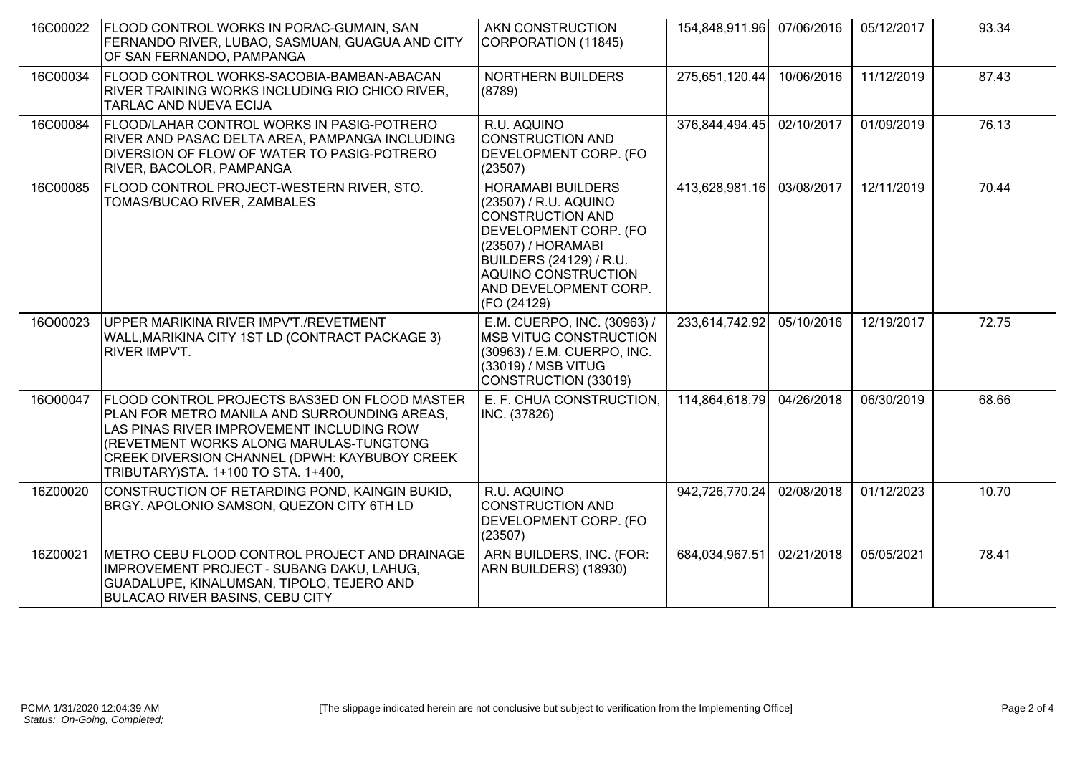| 16C00022 | <b>FLOOD CONTROL WORKS IN PORAC-GUMAIN, SAN</b><br>FERNANDO RIVER, LUBAO, SASMUAN, GUAGUA AND CITY<br>OF SAN FERNANDO, PAMPANGA                                                                                                                                                       | AKN CONSTRUCTION<br>CORPORATION (11845)                                                                                                                                                                               | 154,848,911.96 | 07/06/2016 | 05/12/2017 | 93.34 |
|----------|---------------------------------------------------------------------------------------------------------------------------------------------------------------------------------------------------------------------------------------------------------------------------------------|-----------------------------------------------------------------------------------------------------------------------------------------------------------------------------------------------------------------------|----------------|------------|------------|-------|
| 16C00034 | FLOOD CONTROL WORKS-SACOBIA-BAMBAN-ABACAN<br>RIVER TRAINING WORKS INCLUDING RIO CHICO RIVER,<br>TARLAC AND NUEVA ECIJA                                                                                                                                                                | NORTHERN BUILDERS<br>(8789)                                                                                                                                                                                           | 275,651,120.44 | 10/06/2016 | 11/12/2019 | 87.43 |
| 16C00084 | FLOOD/LAHAR CONTROL WORKS IN PASIG-POTRERO<br>RIVER AND PASAC DELTA AREA, PAMPANGA INCLUDING<br>DIVERSION OF FLOW OF WATER TO PASIG-POTRERO<br>RIVER, BACOLOR, PAMPANGA                                                                                                               | R.U. AQUINO<br>CONSTRUCTION AND<br>DEVELOPMENT CORP. (FO<br>(23507)                                                                                                                                                   | 376,844,494.45 | 02/10/2017 | 01/09/2019 | 76.13 |
| 16C00085 | FLOOD CONTROL PROJECT-WESTERN RIVER, STO.<br>TOMAS/BUCAO RIVER, ZAMBALES                                                                                                                                                                                                              | <b>HORAMABI BUILDERS</b><br>(23507) / R.U. AQUINO<br><b>CONSTRUCTION AND</b><br>DEVELOPMENT CORP. (FO<br>(23507) / HORAMABI<br>BUILDERS (24129) / R.U.<br>AQUINO CONSTRUCTION<br>AND DEVELOPMENT CORP.<br>(FO (24129) | 413,628,981.16 | 03/08/2017 | 12/11/2019 | 70.44 |
| 16O00023 | UPPER MARIKINA RIVER IMPV'T./REVETMENT<br>WALL, MARIKINA CITY 1ST LD (CONTRACT PACKAGE 3)<br><b>RIVER IMPV'T.</b>                                                                                                                                                                     | E.M. CUERPO, INC. (30963) /<br><b>IMSB VITUG CONSTRUCTION</b><br>(30963) / E.M. CUERPO, INC.<br>(33019) / MSB VITUG<br>CONSTRUCTION (33019)                                                                           | 233,614,742.92 | 05/10/2016 | 12/19/2017 | 72.75 |
| 16O00047 | <b>FLOOD CONTROL PROJECTS BAS3ED ON FLOOD MASTER</b><br>PLAN FOR METRO MANILA AND SURROUNDING AREAS,<br>LAS PINAS RIVER IMPROVEMENT INCLUDING ROW<br>(REVETMENT WORKS ALONG MARULAS-TUNGTONG<br>CREEK DIVERSION CHANNEL (DPWH: KAYBUBOY CREEK<br>TRIBUTARY) STA. 1+100 TO STA. 1+400, | E. F. CHUA CONSTRUCTION,<br>INC. (37826)                                                                                                                                                                              | 114,864,618.79 | 04/26/2018 | 06/30/2019 | 68.66 |
| 16Z00020 | CONSTRUCTION OF RETARDING POND, KAINGIN BUKID,<br>BRGY. APOLONIO SAMSON, QUEZON CITY 6TH LD                                                                                                                                                                                           | R.U. AQUINO<br><b>CONSTRUCTION AND</b><br>DEVELOPMENT CORP. (FO<br>(23507)                                                                                                                                            | 942,726,770.24 | 02/08/2018 | 01/12/2023 | 10.70 |
| 16Z00021 | METRO CEBU FLOOD CONTROL PROJECT AND DRAINAGE<br>IMPROVEMENT PROJECT - SUBANG DAKU, LAHUG,<br>GUADALUPE, KINALUMSAN, TIPOLO, TEJERO AND<br><b>BULACAO RIVER BASINS, CEBU CITY</b>                                                                                                     | ARN BUILDERS, INC. (FOR:<br>ARN BUILDERS) (18930)                                                                                                                                                                     | 684,034,967.51 | 02/21/2018 | 05/05/2021 | 78.41 |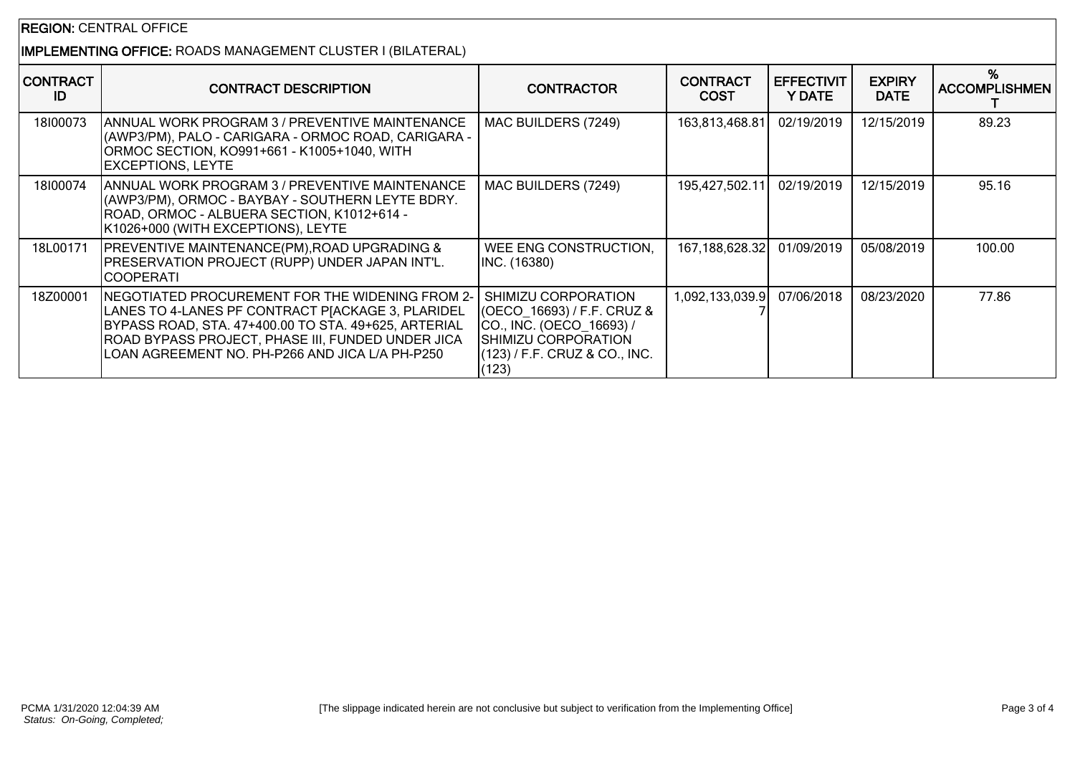## REGION: CENTRAL OFFICE

## IMPLEMENTING OFFICE: ROADS MANAGEMENT CLUSTER I (BILATERAL)

| <b>CONTRACT</b><br>ID | <b>CONTRACT DESCRIPTION</b>                                                                                                                                                                                                                                          | <b>CONTRACTOR</b>                                                                                                                              | <b>CONTRACT</b><br><b>COST</b> | <b>EFFECTIVIT</b><br>Y DATE | <b>EXPIRY</b><br><b>DATE</b> | %<br><b>ACCOMPLISHMEN</b> |
|-----------------------|----------------------------------------------------------------------------------------------------------------------------------------------------------------------------------------------------------------------------------------------------------------------|------------------------------------------------------------------------------------------------------------------------------------------------|--------------------------------|-----------------------------|------------------------------|---------------------------|
| 18100073              | IANNUAL WORK PROGRAM 3 / PREVENTIVE MAINTENANCE<br>(AWP3/PM), PALO - CARIGARA - ORMOC ROAD, CARIGARA -<br>ORMOC SECTION, KO991+661 - K1005+1040, WITH<br><b>EXCEPTIONS, LEYTE</b>                                                                                    | MAC BUILDERS (7249)                                                                                                                            | 163,813,468.81                 | 02/19/2019                  | 12/15/2019                   | 89.23                     |
| 18100074              | IANNUAL WORK PROGRAM 3 / PREVENTIVE MAINTENANCE<br>(AWP3/PM), ORMOC - BAYBAY - SOUTHERN LEYTE BDRY.<br>ROAD, ORMOC - ALBUERA SECTION, K1012+614 -<br>K1026+000 (WITH EXCEPTIONS), LEYTE                                                                              | MAC BUILDERS (7249)                                                                                                                            | 195,427,502.11                 | 02/19/2019                  | 12/15/2019                   | 95.16                     |
| 18L00171              | <b>PREVENTIVE MAINTENANCE(PM), ROAD UPGRADING &amp;</b><br>PRESERVATION PROJECT (RUPP) UNDER JAPAN INT'L.<br><b>COOPERATI</b>                                                                                                                                        | WEE ENG CONSTRUCTION,<br>INC. (16380)                                                                                                          | 167,188,628.32                 | 01/09/2019                  | 05/08/2019                   | 100.00                    |
| 18Z00001              | NEGOTIATED PROCUREMENT FOR THE WIDENING FROM 2-<br>LANES TO 4-LANES PF CONTRACT PJACKAGE 3, PLARIDEL<br>BYPASS ROAD, STA. 47+400.00 TO STA. 49+625, ARTERIAL<br>ROAD BYPASS PROJECT, PHASE III, FUNDED UNDER JICA<br>LOAN AGREEMENT NO. PH-P266 AND JICA L/A PH-P250 | SHIMIZU CORPORATION<br>(OECO_16693) / F.F. CRUZ &<br>CO., INC. (OECO 16693) /<br>SHIMIZU CORPORATION<br>(123) / F.F. CRUZ & CO., INC.<br>(123) | 1,092,133,039.9                | 07/06/2018                  | 08/23/2020                   | 77.86                     |